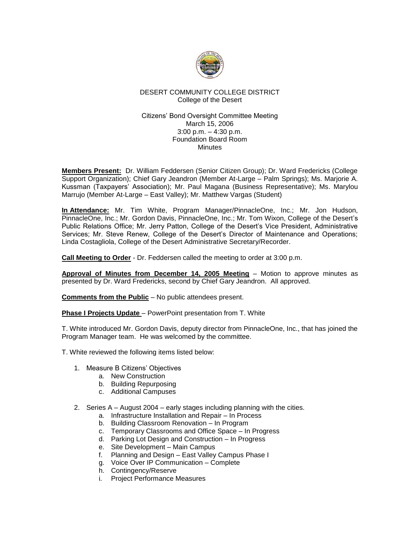

# DESERT COMMUNITY COLLEGE DISTRICT College of the Desert

### Citizens' Bond Oversight Committee Meeting March 15, 2006 3:00 p.m. – 4:30 p.m. Foundation Board Room **Minutes**

**Members Present:** Dr. William Feddersen (Senior Citizen Group); Dr. Ward Fredericks (College Support Organization); Chief Gary Jeandron (Member At-Large – Palm Springs); Ms. Marjorie A. Kussman (Taxpayers' Association); Mr. Paul Magana (Business Representative); Ms. Marylou Marrujo (Member At-Large – East Valley); Mr. Matthew Vargas (Student)

**In Attendance:** Mr. Tim White, Program Manager/PinnacleOne, Inc.; Mr. Jon Hudson, PinnacleOne, Inc.; Mr. Gordon Davis, PinnacleOne, Inc.; Mr. Tom Wixon, College of the Desert's Public Relations Office; Mr. Jerry Patton, College of the Desert's Vice President, Administrative Services; Mr. Steve Renew, College of the Desert's Director of Maintenance and Operations; Linda Costagliola, College of the Desert Administrative Secretary/Recorder.

**Call Meeting to Order** - Dr. Feddersen called the meeting to order at 3:00 p.m.

**Approval of Minutes from December 14, 2005 Meeting** – Motion to approve minutes as presented by Dr. Ward Fredericks, second by Chief Gary Jeandron. All approved.

**Comments from the Public** – No public attendees present.

**Phase I Projects Update** – PowerPoint presentation from T. White

T. White introduced Mr. Gordon Davis, deputy director from PinnacleOne, Inc., that has joined the Program Manager team. He was welcomed by the committee.

- T. White reviewed the following items listed below:
	- 1. Measure B Citizens' Objectives
		- a. New Construction
		- b. Building Repurposing
		- c. Additional Campuses
	- 2. Series A August 2004 early stages including planning with the cities.
		- a. Infrastructure Installation and Repair In Process
		- b. Building Classroom Renovation In Program
		- c. Temporary Classrooms and Office Space In Progress
		- d. Parking Lot Design and Construction In Progress
		- e. Site Development Main Campus
		- f. Planning and Design East Valley Campus Phase I
		- g. Voice Over IP Communication Complete
		- h. Contingency/Reserve
		- i. Project Performance Measures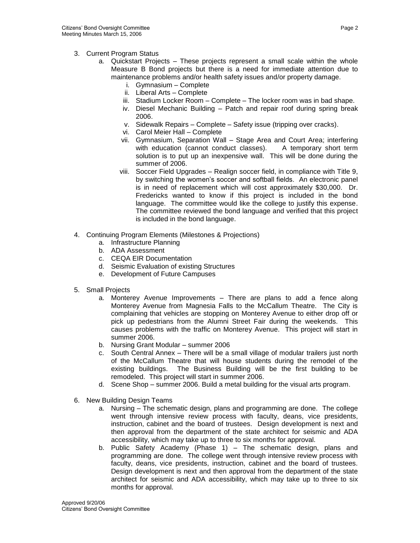- 3. Current Program Status
	- a. Quickstart Projects These projects represent a small scale within the whole Measure B Bond projects but there is a need for immediate attention due to maintenance problems and/or health safety issues and/or property damage.
		- i. Gymnasium Complete
		- ii. Liberal Arts Complete
		- iii. Stadium Locker Room Complete The locker room was in bad shape.
		- iv. Diesel Mechanic Building Patch and repair roof during spring break 2006.
		- v. Sidewalk Repairs Complete Safety issue (tripping over cracks).
		- vi. Carol Meier Hall Complete
		- vii. Gymnasium, Separation Wall Stage Area and Court Area; interfering with education (cannot conduct classes). A temporary short term solution is to put up an inexpensive wall. This will be done during the summer of 2006.
		- viii. Soccer Field Upgrades Realign soccer field, in compliance with Title 9, by switching the women's soccer and softball fields. An electronic panel is in need of replacement which will cost approximately \$30,000. Dr. Fredericks wanted to know if this project is included in the bond language. The committee would like the college to justify this expense. The committee reviewed the bond language and verified that this project is included in the bond language.
- 4. Continuing Program Elements (Milestones & Projections)
	- a. Infrastructure Planning
	- b. ADA Assessment
	- c. CEQA EIR Documentation
	- d. Seismic Evaluation of existing Structures
	- e. Development of Future Campuses
- 5. Small Projects
	- a. Monterey Avenue Improvements There are plans to add a fence along Monterey Avenue from Magnesia Falls to the McCallum Theatre. The City is complaining that vehicles are stopping on Monterey Avenue to either drop off or pick up pedestrians from the Alumni Street Fair during the weekends. This causes problems with the traffic on Monterey Avenue. This project will start in summer 2006.
	- b. Nursing Grant Modular summer 2006
	- c. South Central Annex There will be a small village of modular trailers just north of the McCallum Theatre that will house students during the remodel of the existing buildings. The Business Building will be the first building to be remodeled. This project will start in summer 2006.
	- d. Scene Shop summer 2006. Build a metal building for the visual arts program.
- 6. New Building Design Teams
	- a. Nursing The schematic design, plans and programming are done. The college went through intensive review process with faculty, deans, vice presidents, instruction, cabinet and the board of trustees. Design development is next and then approval from the department of the state architect for seismic and ADA accessibility, which may take up to three to six months for approval.
	- b. Public Safety Academy (Phase 1) The schematic design, plans and programming are done. The college went through intensive review process with faculty, deans, vice presidents, instruction, cabinet and the board of trustees. Design development is next and then approval from the department of the state architect for seismic and ADA accessibility, which may take up to three to six months for approval.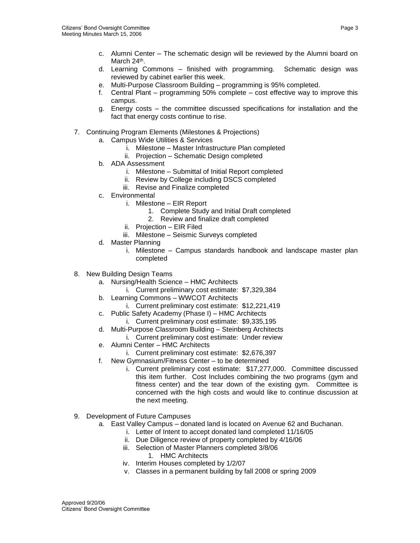- c. Alumni Center The schematic design will be reviewed by the Alumni board on March 24<sup>th</sup>.
- d. Learning Commons finished with programming. Schematic design was reviewed by cabinet earlier this week.
- e. Multi-Purpose Classroom Building programming is 95% completed.
- f. Central Plant programming 50% complete cost effective way to improve this campus.
- g. Energy costs the committee discussed specifications for installation and the fact that energy costs continue to rise.
- 7. Continuing Program Elements (Milestones & Projections)
	- a. Campus Wide Utilities & Services
		- i. Milestone Master Infrastructure Plan completed
		- ii. Projection Schematic Design completed
	- b. ADA Assessment
		- i. Milestone Submittal of Initial Report completed
		- ii. Review by College including DSCS completed
		- iii. Revise and Finalize completed
	- c. Environmental
		- i. Milestone EIR Report
			- 1. Complete Study and Initial Draft completed
			- 2. Review and finalize draft completed
		- ii. Projection EIR Filed
		- iii. Milestone Seismic Surveys completed
	- d. Master Planning
		- i. Milestone Campus standards handbook and landscape master plan completed
- 8. New Building Design Teams
	- a. Nursing/Health Science HMC Architects
		- i. Current preliminary cost estimate: \$7,329,384
	- b. Learning Commons WWCOT Architects
		- i. Current preliminary cost estimate: \$12,221,419
	- c. Public Safety Academy (Phase I) HMC Architects
		- i. Current preliminary cost estimate: \$9,335,195
	- d. Multi-Purpose Classroom Building Steinberg Architects
		- i. Current preliminary cost estimate: Under review
	- e. Alumni Center HMC Architects
		- i. Current preliminary cost estimate: \$2,676,397
	- f. New Gymnasium/Fitness Center to be determined
		- i. Current preliminary cost estimate: \$17,277,000. Committee discussed this item further. Cost Includes combining the two programs (gym and fitness center) and the tear down of the existing gym. Committee is concerned with the high costs and would like to continue discussion at the next meeting.
- 9. Development of Future Campuses
	- a. East Valley Campus donated land is located on Avenue 62 and Buchanan.
		- i. Letter of Intent to accept donated land completed 11/16/05
		- ii. Due Diligence review of property completed by 4/16/06
		- iii. Selection of Master Planners completed 3/8/06
			- 1. HMC Architects
		- iv. Interim Houses completed by 1/2/07
		- v. Classes in a permanent building by fall 2008 or spring 2009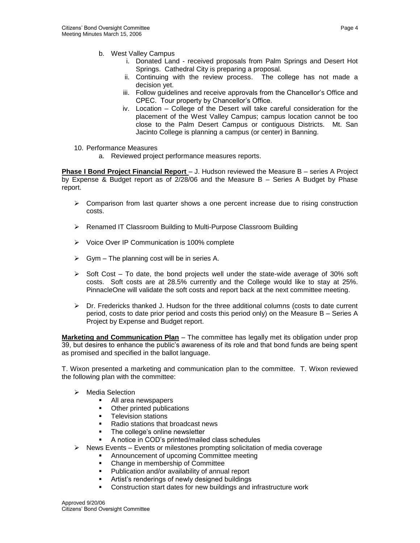- b. West Valley Campus
	- i. Donated Land received proposals from Palm Springs and Desert Hot Springs. Cathedral City is preparing a proposal.
	- ii. Continuing with the review process. The college has not made a decision yet.
	- iii. Follow guidelines and receive approvals from the Chancellor's Office and CPEC. Tour property by Chancellor's Office.
	- iv. Location College of the Desert will take careful consideration for the placement of the West Valley Campus; campus location cannot be too close to the Palm Desert Campus or contiguous Districts. Mt. San Jacinto College is planning a campus (or center) in Banning.
- 10. Performance Measures
	- a. Reviewed project performance measures reports.

**Phase I Bond Project Financial Report** – J. Hudson reviewed the Measure B – series A Project by Expense & Budget report as of 2/28/06 and the Measure B – Series A Budget by Phase report.

- $\triangleright$  Comparison from last quarter shows a one percent increase due to rising construction costs.
- ➢ Renamed IT Classroom Building to Multi-Purpose Classroom Building
- ➢ Voice Over IP Communication is 100% complete
- $\triangleright$  Gym The planning cost will be in series A.
- $\triangleright$  Soft Cost To date, the bond projects well under the state-wide average of 30% soft costs. Soft costs are at 28.5% currently and the College would like to stay at 25%. PinnacleOne will validate the soft costs and report back at the next committee meeting.
- $\triangleright$  Dr. Fredericks thanked J. Hudson for the three additional columns (costs to date current period, costs to date prior period and costs this period only) on the Measure B – Series A Project by Expense and Budget report.

**Marketing and Communication Plan** – The committee has legally met its obligation under prop 39, but desires to enhance the public's awareness of its role and that bond funds are being spent as promised and specified in the ballot language.

T. Wixon presented a marketing and communication plan to the committee. T. Wixon reviewed the following plan with the committee:

- ➢ Media Selection
	- All area newspapers
	- Other printed publications
	- Television stations
	- Radio stations that broadcast news
	- The college's online newsletter
	- A notice in COD's printed/mailed class schedules
- $\triangleright$  News Events Events or milestones prompting solicitation of media coverage
	- Announcement of upcoming Committee meeting
	- Change in membership of Committee
	- Publication and/or availability of annual report
	- **EXECT:** Artist's renderings of newly designed buildings
	- Construction start dates for new buildings and infrastructure work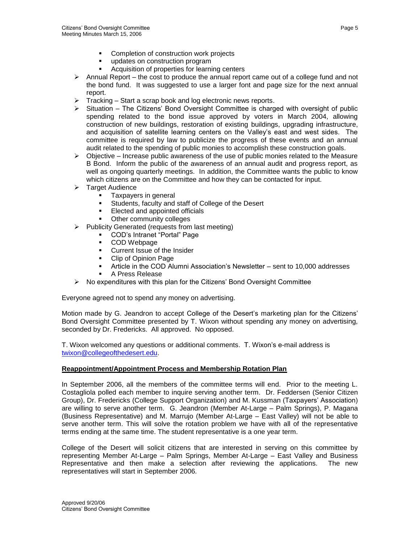- Completion of construction work projects
- updates on construction program
- Acquisition of properties for learning centers
- $\triangleright$  Annual Report the cost to produce the annual report came out of a college fund and not the bond fund. It was suggested to use a larger font and page size for the next annual report.
- ➢ Tracking Start a scrap book and log electronic news reports.
- $\triangleright$  Situation The Citizens' Bond Oversight Committee is charged with oversight of public spending related to the bond issue approved by voters in March 2004, allowing construction of new buildings, restoration of existing buildings, upgrading infrastructure, and acquisition of satellite learning centers on the Valley's east and west sides. The committee is required by law to publicize the progress of these events and an annual audit related to the spending of public monies to accomplish these construction goals.
- $\triangleright$  Objective Increase public awareness of the use of public monies related to the Measure B Bond. Inform the public of the awareness of an annual audit and progress report, as well as ongoing quarterly meetings. In addition, the Committee wants the public to know which citizens are on the Committee and how they can be contacted for input.
- ➢ Target Audience
	- Taxpayers in general
	- Students, faculty and staff of College of the Desert
	- Elected and appointed officials
	- Other community colleges
- ➢ Publicity Generated (requests from last meeting)
	- COD's Intranet "Portal" Page
	- COD Webpage
	- Current Issue of the Insider
	- Clip of Opinion Page
	- Article in the COD Alumni Association's Newsletter sent to 10,000 addresses
	- A Press Release
- ➢ No expenditures with this plan for the Citizens' Bond Oversight Committee

Everyone agreed not to spend any money on advertising.

Motion made by G. Jeandron to accept College of the Desert's marketing plan for the Citizens' Bond Oversight Committee presented by T. Wixon without spending any money on advertising, seconded by Dr. Fredericks. All approved. No opposed.

T. Wixon welcomed any questions or additional comments. T. Wixon's e-mail address is [twixon@collegeofthedesert.edu.](mailto:twixon@collegeofthedesert.edu)

# **Reappointment/Appointment Process and Membership Rotation Plan**

In September 2006, all the members of the committee terms will end. Prior to the meeting L. Costagliola polled each member to inquire serving another term. Dr. Feddersen (Senior Citizen Group), Dr. Fredericks (College Support Organization) and M. Kussman (Taxpayers' Association) are willing to serve another term. G. Jeandron (Member At-Large – Palm Springs), P. Magana (Business Representative) and M. Marrujo (Member At-Large – East Valley) will not be able to serve another term. This will solve the rotation problem we have with all of the representative terms ending at the same time. The student representative is a one year term.

College of the Desert will solicit citizens that are interested in serving on this committee by representing Member At-Large – Palm Springs, Member At-Large – East Valley and Business Representative and then make a selection after reviewing the applications. The new representatives will start in September 2006.